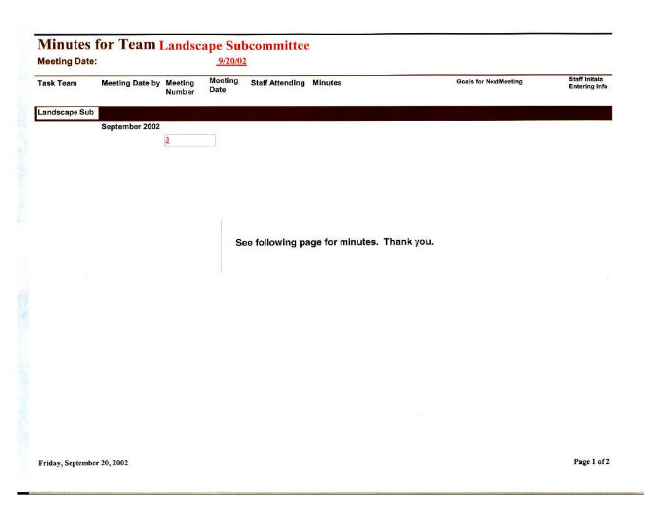|                  | <b>Meeting Date:</b>           |        | 9/20/02                |                                |                                            |                              |                                              |
|------------------|--------------------------------|--------|------------------------|--------------------------------|--------------------------------------------|------------------------------|----------------------------------------------|
| <b>Task Team</b> | <b>Meeting Date by Meeting</b> | Number | <b>Meeting</b><br>Date | <b>Staff Attending Minutes</b> |                                            | <b>Goals for NextMeeting</b> | <b>Staff Initals</b><br><b>Entering Info</b> |
| Landscape Sub    |                                |        |                        |                                |                                            |                              |                                              |
|                  | September 2002                 |        |                        |                                |                                            |                              |                                              |
|                  |                                | 3      |                        |                                |                                            |                              |                                              |
|                  |                                |        |                        |                                |                                            |                              |                                              |
|                  |                                |        |                        |                                |                                            |                              |                                              |
|                  |                                |        |                        |                                |                                            |                              |                                              |
|                  |                                |        |                        |                                |                                            |                              |                                              |
|                  |                                |        |                        |                                |                                            |                              |                                              |
|                  |                                |        |                        |                                | See following page for minutes. Thank you. |                              |                                              |
|                  |                                |        |                        |                                |                                            |                              |                                              |
|                  |                                |        |                        |                                |                                            |                              |                                              |
|                  |                                |        |                        |                                |                                            |                              |                                              |
|                  |                                |        |                        |                                |                                            |                              |                                              |
|                  |                                |        |                        |                                |                                            |                              |                                              |
|                  |                                |        |                        |                                |                                            |                              |                                              |
|                  |                                |        |                        |                                |                                            |                              |                                              |
|                  |                                |        |                        |                                |                                            |                              |                                              |
|                  |                                |        |                        |                                |                                            |                              |                                              |
|                  |                                |        |                        |                                |                                            |                              |                                              |
|                  |                                |        |                        |                                |                                            |                              |                                              |
|                  |                                |        |                        |                                |                                            |                              |                                              |
|                  |                                |        |                        |                                |                                            |                              |                                              |
|                  |                                |        |                        |                                |                                            |                              |                                              |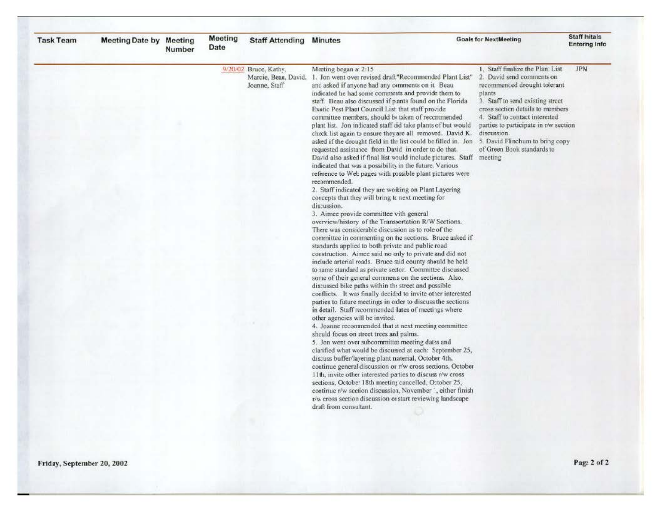| <b>Task Team</b> | Meeting Date by Meeting | Number | <b>Meeting</b><br><b>Date</b> | <b>Staff Attending</b>                                         | <b>Minutes</b>                                                                                                                                                                                                                                                                                                                                                                                                                                                                                                                                                                                                                                                                                                                                                                                                                                                                                                                                                                                                                                                                                                                                                                                                                                                                                                                                                                                                                                                                                                                                                                                                                                                                                                                                                                                                                                                                                                                                                                                                                                                                                                                                                                                                                                                                                                                                                                                                              | <b>Goals for NextMeeting</b>                                                                                                                                                                                                                                                                           | <b>Staff Initals</b><br><b>Entering Info</b> |
|------------------|-------------------------|--------|-------------------------------|----------------------------------------------------------------|-----------------------------------------------------------------------------------------------------------------------------------------------------------------------------------------------------------------------------------------------------------------------------------------------------------------------------------------------------------------------------------------------------------------------------------------------------------------------------------------------------------------------------------------------------------------------------------------------------------------------------------------------------------------------------------------------------------------------------------------------------------------------------------------------------------------------------------------------------------------------------------------------------------------------------------------------------------------------------------------------------------------------------------------------------------------------------------------------------------------------------------------------------------------------------------------------------------------------------------------------------------------------------------------------------------------------------------------------------------------------------------------------------------------------------------------------------------------------------------------------------------------------------------------------------------------------------------------------------------------------------------------------------------------------------------------------------------------------------------------------------------------------------------------------------------------------------------------------------------------------------------------------------------------------------------------------------------------------------------------------------------------------------------------------------------------------------------------------------------------------------------------------------------------------------------------------------------------------------------------------------------------------------------------------------------------------------------------------------------------------------------------------------------------------------|--------------------------------------------------------------------------------------------------------------------------------------------------------------------------------------------------------------------------------------------------------------------------------------------------------|----------------------------------------------|
|                  |                         |        |                               | 9/20/02 Bruce, Kathy,<br>Marcie, Beau, David,<br>Joanne, Staff | Meeting began a: 2:15<br>1. Jon went over revised draft "Recommended Plant List"<br>and asked if anyone had any comments on it. Beau<br>indicated he had some comments and provide them to<br>staff. Beau also discussed if pants found on the Florida<br>Exotic Pest Plant Council List that staff provide<br>committee members, should be taken of recommended<br>plant list. Jon indicated staff did take plants of but would<br>check list again to ensure they are all removed. David K.<br>asked if the drought field in the list could be filled in. Jon 5. David Flinchum to bring copy<br>requested assistance from David in order to do that.<br>David also asked if final list would include pictures. Staff meeting<br>indicated that was a possibility in the future. Various<br>reference to Web pages with possible plant pictures were<br>recommended.<br>2. Staff indicated they are working on Plant Layering<br>concepts that they will bring to next meeting for<br>discussion.<br>3. Aimee provide committee vith general<br>overview/history of the Transportation R/W Sections.<br>There was considerable discussion as to role of the<br>committee in commenting on the sections. Bruce asked if<br>standards applied to both private and public road<br>construction. Aimee said no only to private and did not<br>include arterial roads. Bruce said county should be held<br>to same standard as private sector. Committee discussed<br>some of their general commens on the sections. Also,<br>discussed bike paths within the street and possible<br>conflicts. It was finally decided to invite other interested<br>parties to future meetings in order to discuss the sections<br>in detail. Staff recommended lates of meetings where<br>other agencies will be invited.<br>4. Joanne recommended that at next meeting committee<br>should focus on street trees and palms.<br>5. Jon went over subcommittee meeting dates and<br>clarified what would be discussed at each: September 25,<br>discuss buffer/layering plant naterial, October 4th,<br>continue general discussion or r/w cross sections, October<br>11th, invite other interested parties to discuss r/w cross<br>sections, Octobe: 18th meeting cancelled, October 25,<br>continue r/w section discussion, November , either finish<br>r/w cross section discussion or start reviewing landscape<br>draft from consultant. | 1. Staff finalize the Plan List<br>2. David send comments on<br>recommenced drought tolerant<br>plants<br>3. Staff to send existing street<br>cross section details to members<br>4. Staff to contact interested<br>parties to participate in r/w section<br>discussion.<br>of Green Book standards to | <b>JPN</b>                                   |
|                  |                         |        |                               |                                                                |                                                                                                                                                                                                                                                                                                                                                                                                                                                                                                                                                                                                                                                                                                                                                                                                                                                                                                                                                                                                                                                                                                                                                                                                                                                                                                                                                                                                                                                                                                                                                                                                                                                                                                                                                                                                                                                                                                                                                                                                                                                                                                                                                                                                                                                                                                                                                                                                                             |                                                                                                                                                                                                                                                                                                        |                                              |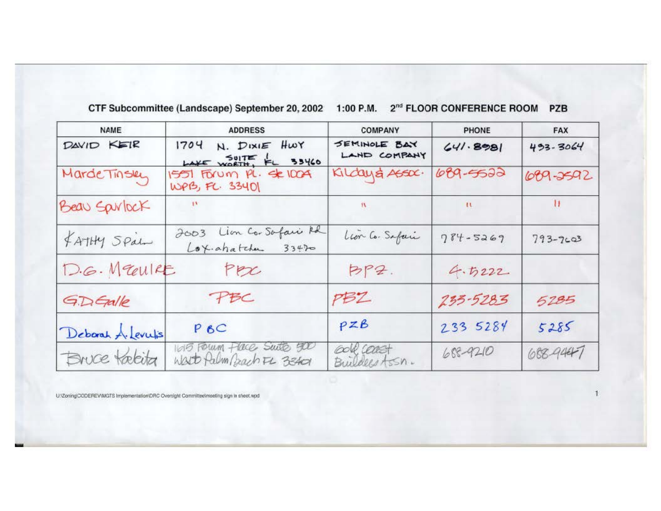| CTF Subcommittee (Landscape) September 20, 2002 1:00 P.M. 2 <sup>nd</sup> FLOOR CONFERENCE ROOM PZB |  |  |  |
|-----------------------------------------------------------------------------------------------------|--|--|--|
|-----------------------------------------------------------------------------------------------------|--|--|--|

| <b>NAME</b>        | <b>ADDRESS</b>                                       | <b>COMPANY</b>                | <b>PHONE</b> | <b>FAX</b>   |
|--------------------|------------------------------------------------------|-------------------------------|--------------|--------------|
| DAVID KEIR         | 1704 N. DIXIE HWY<br>LAKE WORTH, FL 33460            | SEMINOLE BAY<br>LAND COMPANY  | 641.8981     | $493 - 3064$ |
| MardeTinsky        | 1551 FORUM PL. SE 100A<br>WPB, FC. 33401             | Kilday& Assoc.                | 689-5522     | 689-2592     |
| Beau Spirlock      | $\mathbf{u}$                                         | We have a state               | $\mathbf{u}$ | $\mathbf{H}$ |
| FATHY Spalm        | 2003 Lion Co-Safari Rd<br>Lox.ahatchen 33470         | Leon Co. Safari               | $784 - 5269$ | $793 - 7603$ |
| D.G. Meulre        | Per                                                  | BP2.                          | 4.5222       |              |
| GDGalle            | PBC                                                  | PBZ                           | 233-5283     | 5285         |
| Deborah A. Levulis | $P$ <sub><math>6C</math></sub>                       | PZB                           | 233 5284     | 5285         |
| Bruce takita       | 1015 FOWM Flace Swite 500<br>Wast falm Bach FL 33401 | COLP. COOKST<br>Buildes Assn. | 688-9210     | 688-9447     |

U/Zoning\DODEREVWGTS Implementation\DRC Oversight Committeelmeeting sign in sheet.wpd

 $\mathbf{1}$